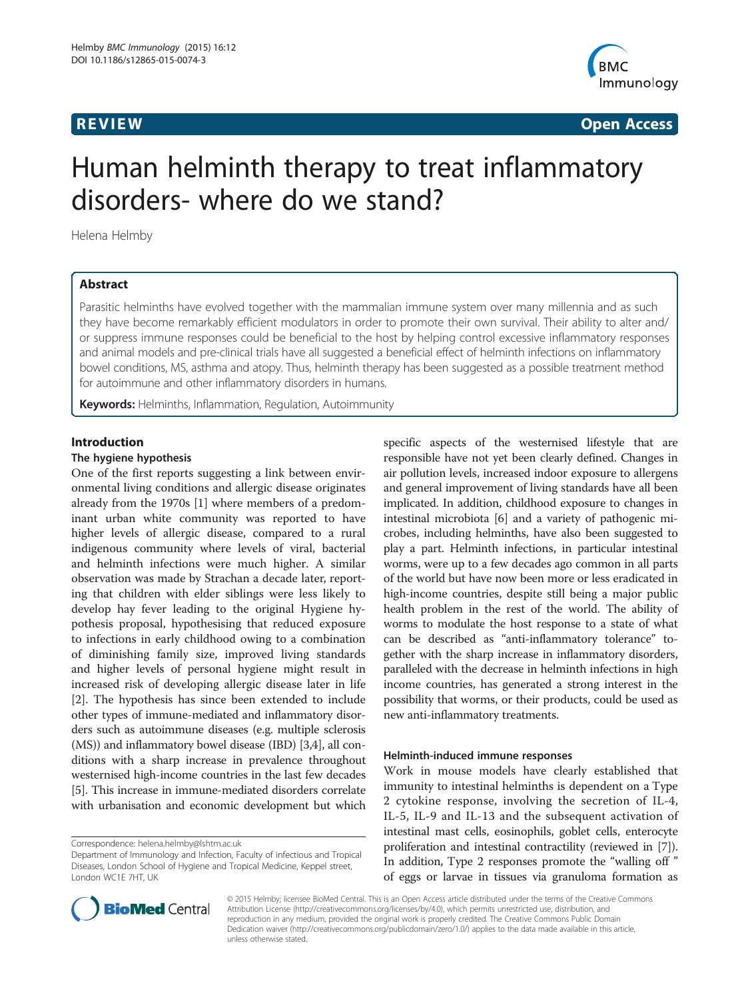

**REVIEW CONSTRUCTION CONSTRUCTION CONSTRUCTION CONSTRUCTS** 

# Human helminth therapy to treat inflammatory disorders- where do we stand?

Helena Helmby

# Abstract

Parasitic helminths have evolved together with the mammalian immune system over many millennia and as such they have become remarkably efficient modulators in order to promote their own survival. Their ability to alter and/ or suppress immune responses could be beneficial to the host by helping control excessive inflammatory responses and animal models and pre-clinical trials have all suggested a beneficial effect of helminth infections on inflammatory bowel conditions, MS, asthma and atopy. Thus, helminth therapy has been suggested as a possible treatment method for autoimmune and other inflammatory disorders in humans.

Keywords: Helminths, Inflammation, Regulation, Autoimmunity

# Introduction

## The hygiene hypothesis

One of the first reports suggesting a link between environmental living conditions and allergic disease originates already from the 1970s [\[1](#page-4-0)] where members of a predominant urban white community was reported to have higher levels of allergic disease, compared to a rural indigenous community where levels of viral, bacterial and helminth infections were much higher. A similar observation was made by Strachan a decade later, reporting that children with elder siblings were less likely to develop hay fever leading to the original Hygiene hypothesis proposal, hypothesising that reduced exposure to infections in early childhood owing to a combination of diminishing family size, improved living standards and higher levels of personal hygiene might result in increased risk of developing allergic disease later in life [[2\]](#page-4-0). The hypothesis has since been extended to include other types of immune-mediated and inflammatory disorders such as autoimmune diseases (e.g. multiple sclerosis (MS)) and inflammatory bowel disease (IBD) [\[3,4\]](#page-4-0), all conditions with a sharp increase in prevalence throughout westernised high-income countries in the last few decades [[5\]](#page-4-0). This increase in immune-mediated disorders correlate with urbanisation and economic development but which

Correspondence: [helena.helmby@lshtm.ac.uk](mailto:helena.helmby@lshtm.ac.uk)

specific aspects of the westernised lifestyle that are responsible have not yet been clearly defined. Changes in air pollution levels, increased indoor exposure to allergens and general improvement of living standards have all been implicated. In addition, childhood exposure to changes in intestinal microbiota [[6](#page-4-0)] and a variety of pathogenic microbes, including helminths, have also been suggested to play a part. Helminth infections, in particular intestinal worms, were up to a few decades ago common in all parts of the world but have now been more or less eradicated in high-income countries, despite still being a major public health problem in the rest of the world. The ability of worms to modulate the host response to a state of what can be described as "anti-inflammatory tolerance" together with the sharp increase in inflammatory disorders, paralleled with the decrease in helminth infections in high income countries, has generated a strong interest in the possibility that worms, or their products, could be used as new anti-inflammatory treatments.

# Helminth-induced immune responses

Work in mouse models have clearly established that immunity to intestinal helminths is dependent on a Type 2 cytokine response, involving the secretion of IL-4, IL-5, IL-9 and IL-13 and the subsequent activation of intestinal mast cells, eosinophils, goblet cells, enterocyte proliferation and intestinal contractility (reviewed in [\[7](#page-4-0)]). In addition, Type 2 responses promote the "walling off " of eggs or larvae in tissues via granuloma formation as



© 2015 Helmby; licensee BioMed Central. This is an Open Access article distributed under the terms of the Creative Commons Attribution License (<http://creativecommons.org/licenses/by/4.0>), which permits unrestricted use, distribution, and reproduction in any medium, provided the original work is properly credited. The Creative Commons Public Domain Dedication waiver [\(http://creativecommons.org/publicdomain/zero/1.0/](http://creativecommons.org/publicdomain/zero/1.0/)) applies to the data made available in this article, unless otherwise stated.

Department of Immunology and Infection, Faculty of infectious and Tropical Diseases, London School of Hygiene and Tropical Medicine, Keppel street, London WC1E 7HT, UK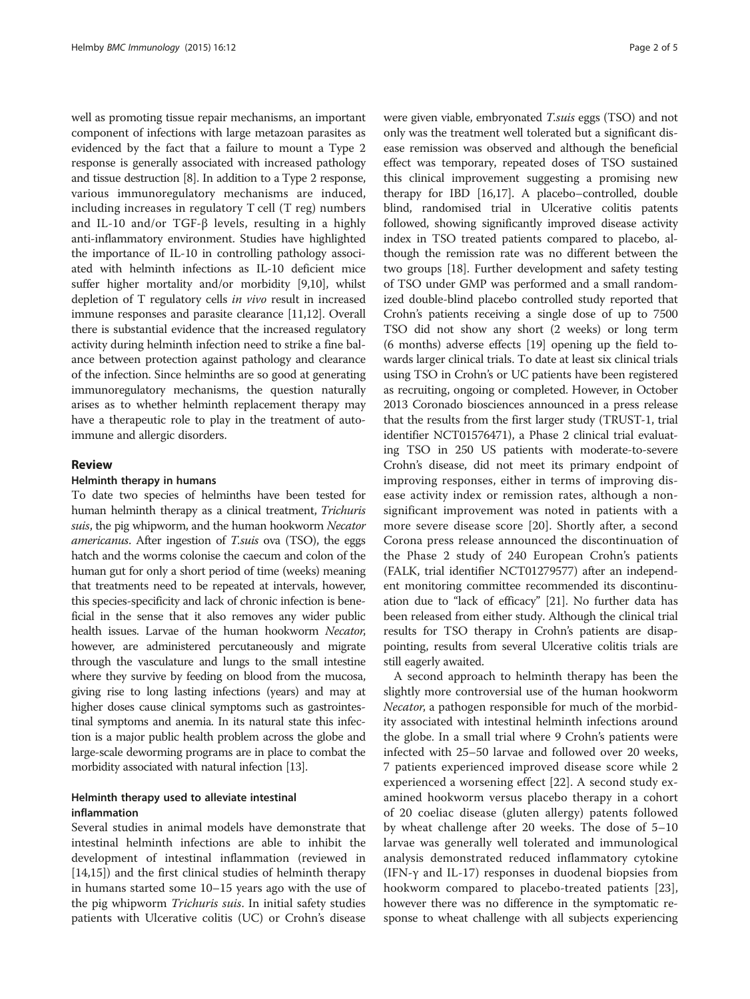well as promoting tissue repair mechanisms, an important component of infections with large metazoan parasites as evidenced by the fact that a failure to mount a Type 2 response is generally associated with increased pathology and tissue destruction [\[8](#page-4-0)]. In addition to a Type 2 response, various immunoregulatory mechanisms are induced, including increases in regulatory T cell (T reg) numbers and IL-10 and/or TGF-β levels, resulting in a highly anti-inflammatory environment. Studies have highlighted the importance of IL-10 in controlling pathology associated with helminth infections as IL-10 deficient mice suffer higher mortality and/or morbidity [\[9,10\]](#page-4-0), whilst depletion of T regulatory cells in vivo result in increased immune responses and parasite clearance [[11,12\]](#page-4-0). Overall there is substantial evidence that the increased regulatory activity during helminth infection need to strike a fine balance between protection against pathology and clearance of the infection. Since helminths are so good at generating immunoregulatory mechanisms, the question naturally arises as to whether helminth replacement therapy may have a therapeutic role to play in the treatment of autoimmune and allergic disorders.

# Review

# Helminth therapy in humans

To date two species of helminths have been tested for human helminth therapy as a clinical treatment, Trichuris suis, the pig whipworm, and the human hookworm Necator americanus. After ingestion of T.suis ova (TSO), the eggs hatch and the worms colonise the caecum and colon of the human gut for only a short period of time (weeks) meaning that treatments need to be repeated at intervals, however, this species-specificity and lack of chronic infection is beneficial in the sense that it also removes any wider public health issues. Larvae of the human hookworm Necator, however, are administered percutaneously and migrate through the vasculature and lungs to the small intestine where they survive by feeding on blood from the mucosa, giving rise to long lasting infections (years) and may at higher doses cause clinical symptoms such as gastrointestinal symptoms and anemia. In its natural state this infection is a major public health problem across the globe and large-scale deworming programs are in place to combat the morbidity associated with natural infection [\[13](#page-4-0)].

# Helminth therapy used to alleviate intestinal inflammation

Several studies in animal models have demonstrate that intestinal helminth infections are able to inhibit the development of intestinal inflammation (reviewed in [[14,15\]](#page-4-0)) and the first clinical studies of helminth therapy in humans started some 10–15 years ago with the use of the pig whipworm Trichuris suis. In initial safety studies patients with Ulcerative colitis (UC) or Crohn's disease were given viable, embryonated T.suis eggs (TSO) and not only was the treatment well tolerated but a significant disease remission was observed and although the beneficial effect was temporary, repeated doses of TSO sustained this clinical improvement suggesting a promising new therapy for IBD [\[16,17](#page-4-0)]. A placebo–controlled, double blind, randomised trial in Ulcerative colitis patents followed, showing significantly improved disease activity index in TSO treated patients compared to placebo, although the remission rate was no different between the two groups [\[18\]](#page-4-0). Further development and safety testing of TSO under GMP was performed and a small randomized double-blind placebo controlled study reported that Crohn's patients receiving a single dose of up to 7500 TSO did not show any short (2 weeks) or long term (6 months) adverse effects [\[19\]](#page-4-0) opening up the field towards larger clinical trials. To date at least six clinical trials using TSO in Crohn's or UC patients have been registered as recruiting, ongoing or completed. However, in October 2013 Coronado biosciences announced in a press release that the results from the first larger study (TRUST-1, trial identifier NCT01576471), a Phase 2 clinical trial evaluating TSO in 250 US patients with moderate-to-severe Crohn's disease, did not meet its primary endpoint of improving responses, either in terms of improving disease activity index or remission rates, although a nonsignificant improvement was noted in patients with a more severe disease score [[20\]](#page-4-0). Shortly after, a second Corona press release announced the discontinuation of the Phase 2 study of 240 European Crohn's patients (FALK, trial identifier NCT01279577) after an independent monitoring committee recommended its discontinuation due to "lack of efficacy" [\[21](#page-4-0)]. No further data has been released from either study. Although the clinical trial results for TSO therapy in Crohn's patients are disappointing, results from several Ulcerative colitis trials are still eagerly awaited.

A second approach to helminth therapy has been the slightly more controversial use of the human hookworm Necator, a pathogen responsible for much of the morbidity associated with intestinal helminth infections around the globe. In a small trial where 9 Crohn's patients were infected with 25–50 larvae and followed over 20 weeks, 7 patients experienced improved disease score while 2 experienced a worsening effect [[22\]](#page-4-0). A second study examined hookworm versus placebo therapy in a cohort of 20 coeliac disease (gluten allergy) patents followed by wheat challenge after 20 weeks. The dose of 5–10 larvae was generally well tolerated and immunological analysis demonstrated reduced inflammatory cytokine (IFN-γ and IL-17) responses in duodenal biopsies from hookworm compared to placebo-treated patients [\[23](#page-4-0)], however there was no difference in the symptomatic response to wheat challenge with all subjects experiencing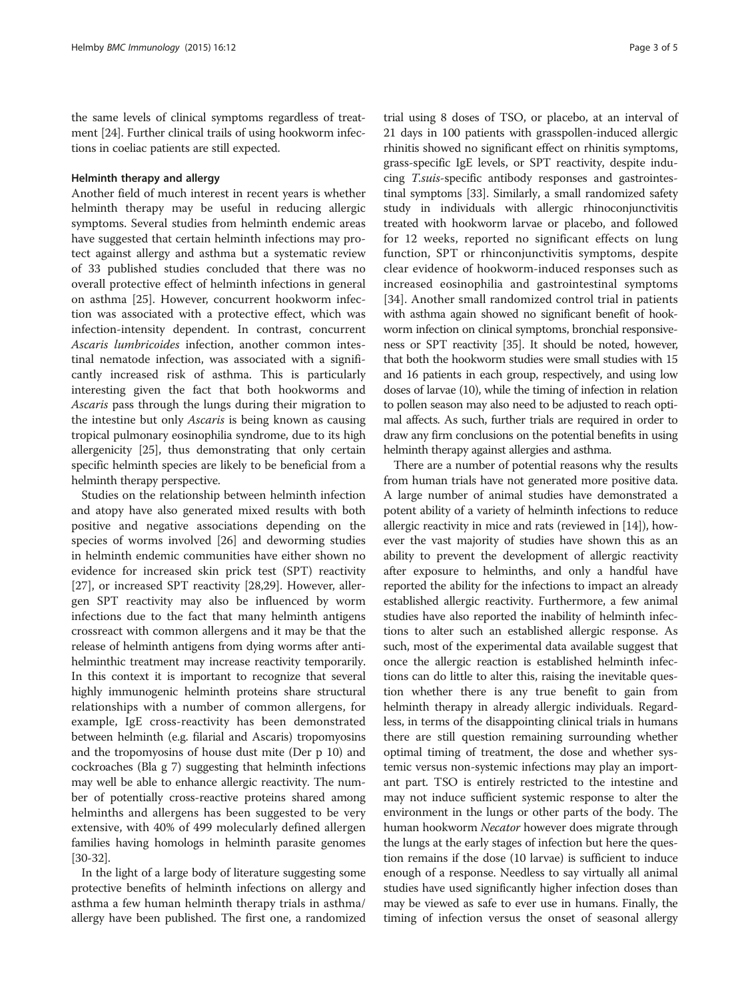the same levels of clinical symptoms regardless of treatment [\[24](#page-4-0)]. Further clinical trails of using hookworm infections in coeliac patients are still expected.

### Helminth therapy and allergy

Another field of much interest in recent years is whether helminth therapy may be useful in reducing allergic symptoms. Several studies from helminth endemic areas have suggested that certain helminth infections may protect against allergy and asthma but a systematic review of 33 published studies concluded that there was no overall protective effect of helminth infections in general on asthma [\[25\]](#page-4-0). However, concurrent hookworm infection was associated with a protective effect, which was infection-intensity dependent. In contrast, concurrent Ascaris lumbricoides infection, another common intestinal nematode infection, was associated with a significantly increased risk of asthma. This is particularly interesting given the fact that both hookworms and Ascaris pass through the lungs during their migration to the intestine but only Ascaris is being known as causing tropical pulmonary eosinophilia syndrome, due to its high allergenicity [\[25\]](#page-4-0), thus demonstrating that only certain specific helminth species are likely to be beneficial from a helminth therapy perspective.

Studies on the relationship between helminth infection and atopy have also generated mixed results with both positive and negative associations depending on the species of worms involved [\[26](#page-4-0)] and deworming studies in helminth endemic communities have either shown no evidence for increased skin prick test (SPT) reactivity [[27\]](#page-4-0), or increased SPT reactivity [\[28,29](#page-4-0)]. However, allergen SPT reactivity may also be influenced by worm infections due to the fact that many helminth antigens crossreact with common allergens and it may be that the release of helminth antigens from dying worms after antihelminthic treatment may increase reactivity temporarily. In this context it is important to recognize that several highly immunogenic helminth proteins share structural relationships with a number of common allergens, for example, IgE cross-reactivity has been demonstrated between helminth (e.g. filarial and Ascaris) tropomyosins and the tropomyosins of house dust mite (Der p 10) and cockroaches (Bla g 7) suggesting that helminth infections may well be able to enhance allergic reactivity. The number of potentially cross-reactive proteins shared among helminths and allergens has been suggested to be very extensive, with 40% of 499 molecularly defined allergen families having homologs in helminth parasite genomes [[30](#page-4-0)-[32\]](#page-4-0).

In the light of a large body of literature suggesting some protective benefits of helminth infections on allergy and asthma a few human helminth therapy trials in asthma/ allergy have been published. The first one, a randomized

trial using 8 doses of TSO, or placebo, at an interval of 21 days in 100 patients with grasspollen-induced allergic rhinitis showed no significant effect on rhinitis symptoms, grass-specific IgE levels, or SPT reactivity, despite inducing T.suis-specific antibody responses and gastrointestinal symptoms [[33](#page-4-0)]. Similarly, a small randomized safety study in individuals with allergic rhinoconjunctivitis treated with hookworm larvae or placebo, and followed for 12 weeks, reported no significant effects on lung function, SPT or rhinconjunctivitis symptoms, despite clear evidence of hookworm-induced responses such as increased eosinophilia and gastrointestinal symptoms [[34\]](#page-4-0). Another small randomized control trial in patients with asthma again showed no significant benefit of hookworm infection on clinical symptoms, bronchial responsiveness or SPT reactivity [\[35\]](#page-4-0). It should be noted, however, that both the hookworm studies were small studies with 15 and 16 patients in each group, respectively, and using low doses of larvae (10), while the timing of infection in relation to pollen season may also need to be adjusted to reach optimal affects. As such, further trials are required in order to draw any firm conclusions on the potential benefits in using helminth therapy against allergies and asthma.

There are a number of potential reasons why the results from human trials have not generated more positive data. A large number of animal studies have demonstrated a potent ability of a variety of helminth infections to reduce allergic reactivity in mice and rats (reviewed in [\[14](#page-4-0)]), however the vast majority of studies have shown this as an ability to prevent the development of allergic reactivity after exposure to helminths, and only a handful have reported the ability for the infections to impact an already established allergic reactivity. Furthermore, a few animal studies have also reported the inability of helminth infections to alter such an established allergic response. As such, most of the experimental data available suggest that once the allergic reaction is established helminth infections can do little to alter this, raising the inevitable question whether there is any true benefit to gain from helminth therapy in already allergic individuals. Regardless, in terms of the disappointing clinical trials in humans there are still question remaining surrounding whether optimal timing of treatment, the dose and whether systemic versus non-systemic infections may play an important part. TSO is entirely restricted to the intestine and may not induce sufficient systemic response to alter the environment in the lungs or other parts of the body. The human hookworm Necator however does migrate through the lungs at the early stages of infection but here the question remains if the dose (10 larvae) is sufficient to induce enough of a response. Needless to say virtually all animal studies have used significantly higher infection doses than may be viewed as safe to ever use in humans. Finally, the timing of infection versus the onset of seasonal allergy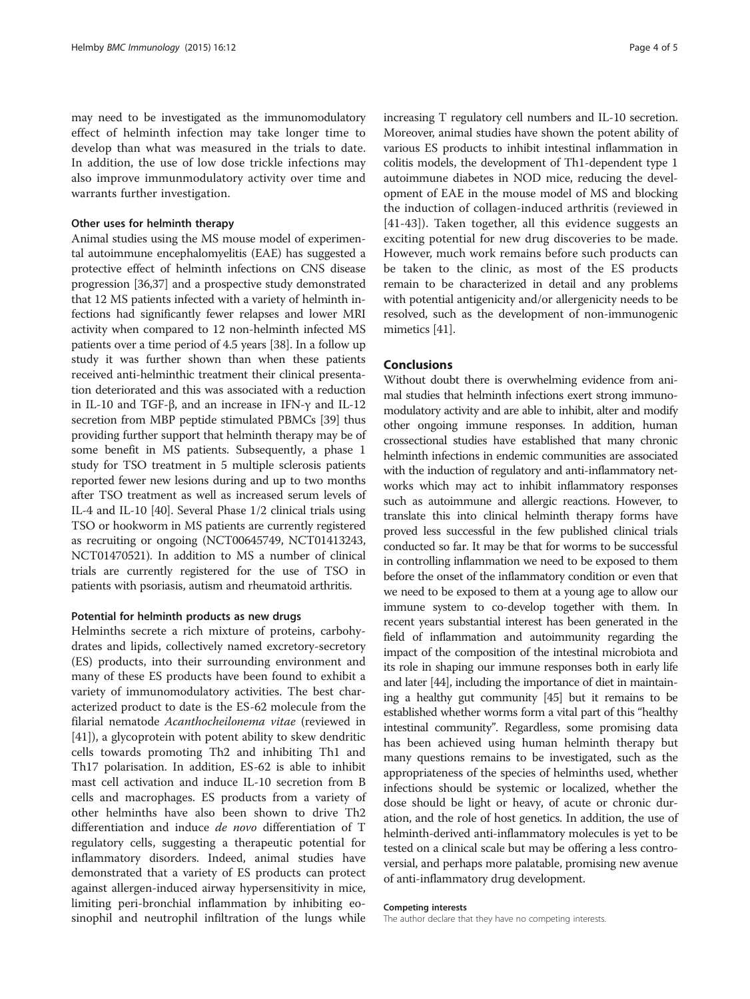may need to be investigated as the immunomodulatory effect of helminth infection may take longer time to develop than what was measured in the trials to date. In addition, the use of low dose trickle infections may also improve immunmodulatory activity over time and warrants further investigation.

# Other uses for helminth therapy

Animal studies using the MS mouse model of experimental autoimmune encephalomyelitis (EAE) has suggested a protective effect of helminth infections on CNS disease progression [\[36,37\]](#page-4-0) and a prospective study demonstrated that 12 MS patients infected with a variety of helminth infections had significantly fewer relapses and lower MRI activity when compared to 12 non-helminth infected MS patients over a time period of 4.5 years [\[38](#page-4-0)]. In a follow up study it was further shown than when these patients received anti-helminthic treatment their clinical presentation deteriorated and this was associated with a reduction in IL-10 and TGF-β, and an increase in IFN-γ and IL-12 secretion from MBP peptide stimulated PBMCs [\[39\]](#page-4-0) thus providing further support that helminth therapy may be of some benefit in MS patients. Subsequently, a phase 1 study for TSO treatment in 5 multiple sclerosis patients reported fewer new lesions during and up to two months after TSO treatment as well as increased serum levels of IL-4 and IL-10 [[40](#page-4-0)]. Several Phase 1/2 clinical trials using TSO or hookworm in MS patients are currently registered as recruiting or ongoing (NCT00645749, NCT01413243, NCT01470521). In addition to MS a number of clinical trials are currently registered for the use of TSO in patients with psoriasis, autism and rheumatoid arthritis.

# Potential for helminth products as new drugs

Helminths secrete a rich mixture of proteins, carbohydrates and lipids, collectively named excretory-secretory (ES) products, into their surrounding environment and many of these ES products have been found to exhibit a variety of immunomodulatory activities. The best characterized product to date is the ES-62 molecule from the filarial nematode Acanthocheilonema vitae (reviewed in [[41\]](#page-4-0)), a glycoprotein with potent ability to skew dendritic cells towards promoting Th2 and inhibiting Th1 and Th17 polarisation. In addition, ES-62 is able to inhibit mast cell activation and induce IL-10 secretion from B cells and macrophages. ES products from a variety of other helminths have also been shown to drive Th2 differentiation and induce de novo differentiation of T regulatory cells, suggesting a therapeutic potential for inflammatory disorders. Indeed, animal studies have demonstrated that a variety of ES products can protect against allergen-induced airway hypersensitivity in mice, limiting peri-bronchial inflammation by inhibiting eosinophil and neutrophil infiltration of the lungs while increasing T regulatory cell numbers and IL-10 secretion. Moreover, animal studies have shown the potent ability of various ES products to inhibit intestinal inflammation in colitis models, the development of Th1-dependent type 1 autoimmune diabetes in NOD mice, reducing the development of EAE in the mouse model of MS and blocking the induction of collagen-induced arthritis (reviewed in [[41-43\]](#page-4-0)). Taken together, all this evidence suggests an exciting potential for new drug discoveries to be made. However, much work remains before such products can be taken to the clinic, as most of the ES products remain to be characterized in detail and any problems with potential antigenicity and/or allergenicity needs to be resolved, such as the development of non-immunogenic mimetics [\[41\]](#page-4-0).

# Conclusions

Without doubt there is overwhelming evidence from animal studies that helminth infections exert strong immunomodulatory activity and are able to inhibit, alter and modify other ongoing immune responses. In addition, human crossectional studies have established that many chronic helminth infections in endemic communities are associated with the induction of regulatory and anti-inflammatory networks which may act to inhibit inflammatory responses such as autoimmune and allergic reactions. However, to translate this into clinical helminth therapy forms have proved less successful in the few published clinical trials conducted so far. It may be that for worms to be successful in controlling inflammation we need to be exposed to them before the onset of the inflammatory condition or even that we need to be exposed to them at a young age to allow our immune system to co-develop together with them. In recent years substantial interest has been generated in the field of inflammation and autoimmunity regarding the impact of the composition of the intestinal microbiota and its role in shaping our immune responses both in early life and later [[44](#page-4-0)], including the importance of diet in maintaining a healthy gut community [[45](#page-4-0)] but it remains to be established whether worms form a vital part of this "healthy intestinal community". Regardless, some promising data has been achieved using human helminth therapy but many questions remains to be investigated, such as the appropriateness of the species of helminths used, whether infections should be systemic or localized, whether the dose should be light or heavy, of acute or chronic duration, and the role of host genetics. In addition, the use of helminth-derived anti-inflammatory molecules is yet to be tested on a clinical scale but may be offering a less controversial, and perhaps more palatable, promising new avenue of anti-inflammatory drug development.

#### Competing interests

The author declare that they have no competing interests.